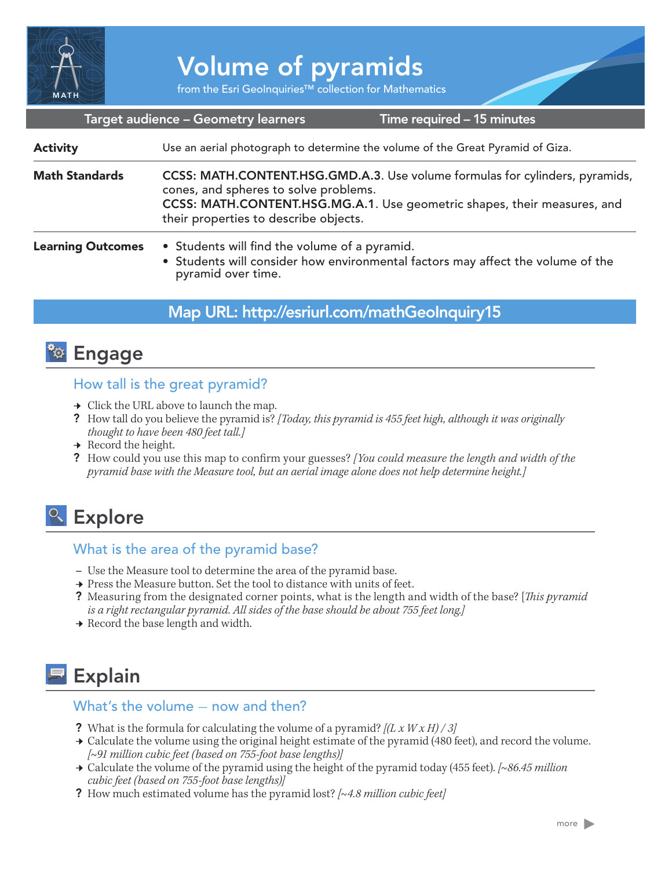

# Volume of pyramids

from the Esri GeoInquiries™ collection for Mathematics

#### Target audience – Geometry learners

Time required – 15 minutes

| <b>Activity</b>          | Use an aerial photograph to determine the volume of the Great Pyramid of Giza.                                                                                                                                                             |
|--------------------------|--------------------------------------------------------------------------------------------------------------------------------------------------------------------------------------------------------------------------------------------|
| <b>Math Standards</b>    | CCSS: MATH.CONTENT.HSG.GMD.A.3. Use volume formulas for cylinders, pyramids,<br>cones, and spheres to solve problems.<br>CCSS: MATH.CONTENT.HSG.MG.A.1. Use geometric shapes, their measures, and<br>their properties to describe objects. |
| <b>Learning Outcomes</b> | • Students will find the volume of a pyramid.<br>• Students will consider how environmental factors may affect the volume of the<br>pyramid over time.                                                                                     |

## Map URL: http://esriurl.com/mathGeoInquiry15

## **<sup>to</sup>** Engage

#### How tall is the great pyramid?

- $\rightarrow$  Click the URL above to launch the map.
- ? How tall do you believe the pyramid is? *[Today, this pyramid is 455 feet high, although it was originally thought to have been 480 feet tall.]*
- $\rightarrow$  Record the height.
- ? How could you use this map to confirm your guesses? *[You could measure the length and width of the pyramid base with the Measure tool, but an aerial image alone does not help determine height.]*

# <sup>Q</sup> Explore

## What is the area of the pyramid base?

- **–** Use the Measure tool to determine the area of the pyramid base.
- → Press the Measure button. Set the tool to distance with units of feet.
- ? Measuring from the designated corner points, what is the length and width of the base? [*This pyramid is a right rectangular pyramid. All sides of the base should be about 755 feet long.]*
- $\rightarrow$  Record the base length and width.

# Explain

#### What's the volume  $-$  now and then?

- ? What is the formula for calculating the volume of a pyramid? *[(L x W x H) / 3]*
- → Calculate the volume using the original height estimate of the pyramid (480 feet), and record the volume. *[~91 million cubic feet (based on 755-foot base lengths)]*
- ʅ Calculate the volume of the pyramid using the height of the pyramid today (455 feet). *[~86.45 million cubic feet (based on 755-foot base lengths)]*
- ? How much estimated volume has the pyramid lost? *[~4.8 million cubic feet]*